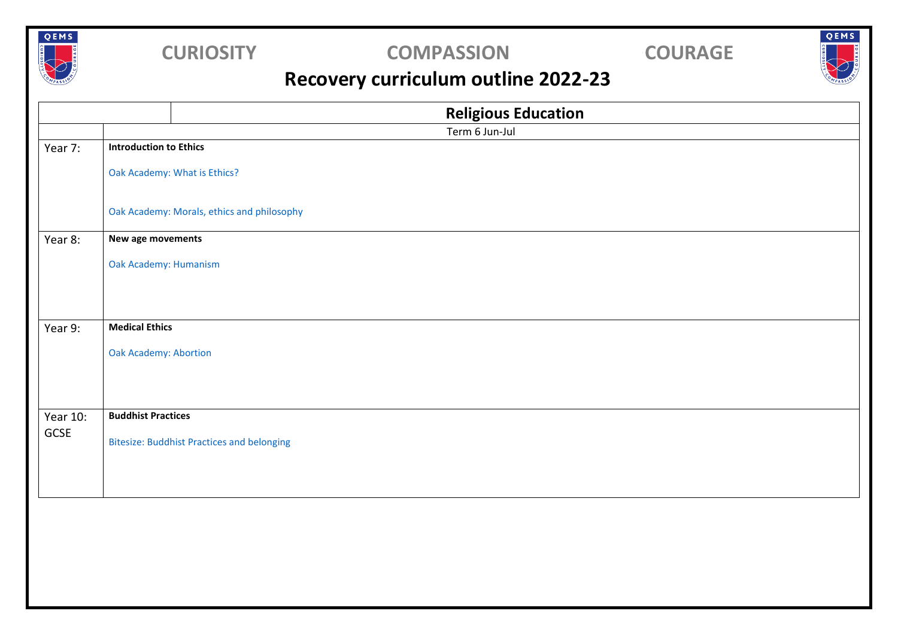

### **CURIOSITY COMPASSION COURAGE**

QEMS

# **Recovery curriculum outline 2022-23**

|          |                                                   | <b>Religious Education</b>                 |  |  |
|----------|---------------------------------------------------|--------------------------------------------|--|--|
|          |                                                   | Term 6 Jun-Jul                             |  |  |
| Year 7:  | <b>Introduction to Ethics</b>                     |                                            |  |  |
|          |                                                   | Oak Academy: What is Ethics?               |  |  |
|          |                                                   | Oak Academy: Morals, ethics and philosophy |  |  |
| Year 8:  | New age movements                                 |                                            |  |  |
|          | Oak Academy: Humanism                             |                                            |  |  |
|          |                                                   |                                            |  |  |
| Year 9:  | <b>Medical Ethics</b>                             |                                            |  |  |
|          | Oak Academy: Abortion                             |                                            |  |  |
|          |                                                   |                                            |  |  |
| Year 10: | <b>Buddhist Practices</b>                         |                                            |  |  |
| GCSE     |                                                   |                                            |  |  |
|          | <b>Bitesize: Buddhist Practices and belonging</b> |                                            |  |  |
|          |                                                   |                                            |  |  |
|          |                                                   |                                            |  |  |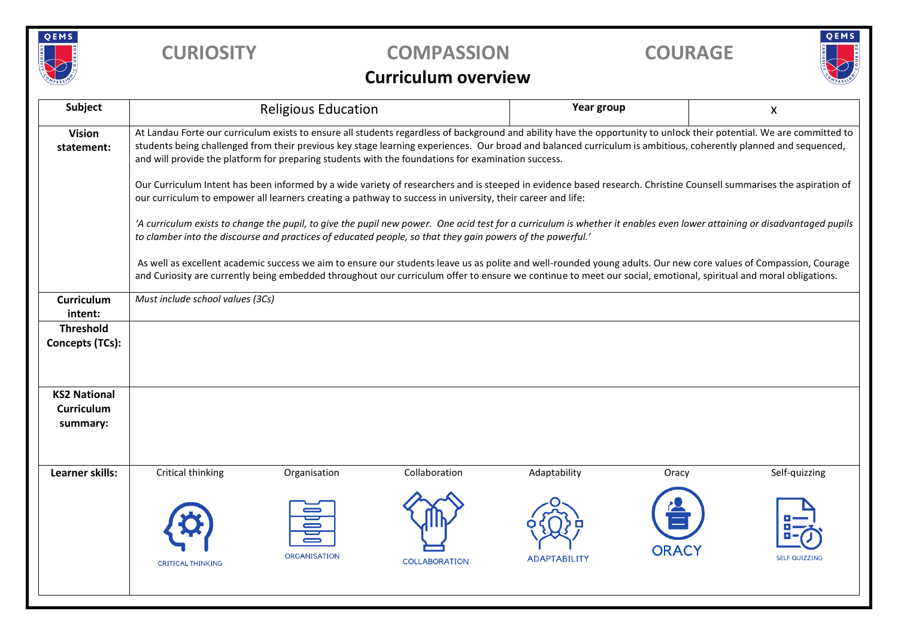

## **CURIOSITY COMPASSION COURAGE**



### **Curriculum overview**

| Subject                                              |                                                                                                                                                                                                                                                                                                                                                                                                                                                | <b>Religious Education</b> |                      | Year group          |              | X                    |
|------------------------------------------------------|------------------------------------------------------------------------------------------------------------------------------------------------------------------------------------------------------------------------------------------------------------------------------------------------------------------------------------------------------------------------------------------------------------------------------------------------|----------------------------|----------------------|---------------------|--------------|----------------------|
| <b>Vision</b><br>statement:                          | At Landau Forte our curriculum exists to ensure all students regardless of background and ability have the opportunity to unlock their potential. We are committed to<br>students being challenged from their previous key stage learning experiences. Our broad and balanced curriculum is ambitious, coherently planned and sequenced,<br>and will provide the platform for preparing students with the foundations for examination success. |                            |                      |                     |              |                      |
|                                                      | Our Curriculum Intent has been informed by a wide variety of researchers and is steeped in evidence based research. Christine Counsell summarises the aspiration of<br>our curriculum to empower all learners creating a pathway to success in university, their career and life:                                                                                                                                                              |                            |                      |                     |              |                      |
|                                                      | 'A curriculum exists to change the pupil, to give the pupil new power. One acid test for a curriculum is whether it enables even lower attaining or disadvantaged pupils<br>to clamber into the discourse and practices of educated people, so that they gain powers of the powerful.'                                                                                                                                                         |                            |                      |                     |              |                      |
|                                                      | As well as excellent academic success we aim to ensure our students leave us as polite and well-rounded young adults. Our new core values of Compassion, Courage<br>and Curiosity are currently being embedded throughout our curriculum offer to ensure we continue to meet our social, emotional, spiritual and moral obligations.                                                                                                           |                            |                      |                     |              |                      |
| <b>Curriculum</b><br>intent:                         | Must include school values (3Cs)                                                                                                                                                                                                                                                                                                                                                                                                               |                            |                      |                     |              |                      |
| <b>Threshold</b><br>Concepts (TCs):                  |                                                                                                                                                                                                                                                                                                                                                                                                                                                |                            |                      |                     |              |                      |
| <b>KS2 National</b><br><b>Curriculum</b><br>summary: |                                                                                                                                                                                                                                                                                                                                                                                                                                                |                            |                      |                     |              |                      |
| Learner skills:                                      | Critical thinking                                                                                                                                                                                                                                                                                                                                                                                                                              | Organisation               | Collaboration        | Adaptability        | Oracy        | Self-quizzing        |
|                                                      | <b>CRITICAL THINKING</b>                                                                                                                                                                                                                                                                                                                                                                                                                       | ORGANISATION               | <b>COLLABORATION</b> | <b>ADAPTABILITY</b> | <b>ORACY</b> | <b>SELF QUIZZING</b> |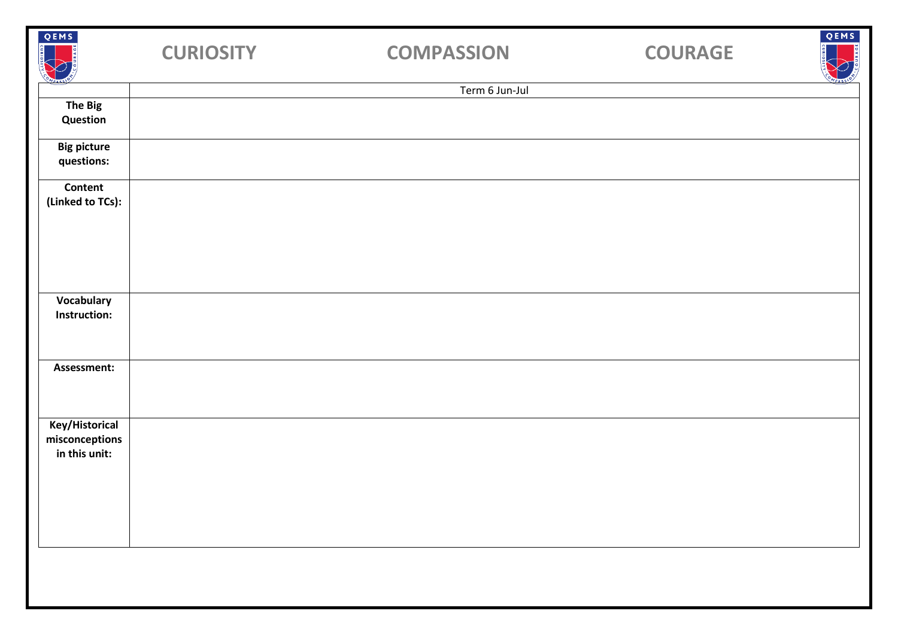| QEMS                             | <b>CURIOSITY</b> | <b>COMPASSION</b> | <b>COURAGE</b> | QEMS |
|----------------------------------|------------------|-------------------|----------------|------|
|                                  |                  | Term 6 Jun-Jul    |                |      |
| The Big                          |                  |                   |                |      |
| Question                         |                  |                   |                |      |
| <b>Big picture</b><br>questions: |                  |                   |                |      |
| Content<br>(Linked to TCs):      |                  |                   |                |      |
|                                  |                  |                   |                |      |
|                                  |                  |                   |                |      |
|                                  |                  |                   |                |      |
| Vocabulary                       |                  |                   |                |      |
| Instruction:                     |                  |                   |                |      |
|                                  |                  |                   |                |      |
| Assessment:                      |                  |                   |                |      |
|                                  |                  |                   |                |      |
| <b>Key/Historical</b>            |                  |                   |                |      |
| misconceptions                   |                  |                   |                |      |
| in this unit:                    |                  |                   |                |      |
|                                  |                  |                   |                |      |
|                                  |                  |                   |                |      |
|                                  |                  |                   |                |      |
|                                  |                  |                   |                |      |
|                                  |                  |                   |                |      |
|                                  |                  |                   |                |      |